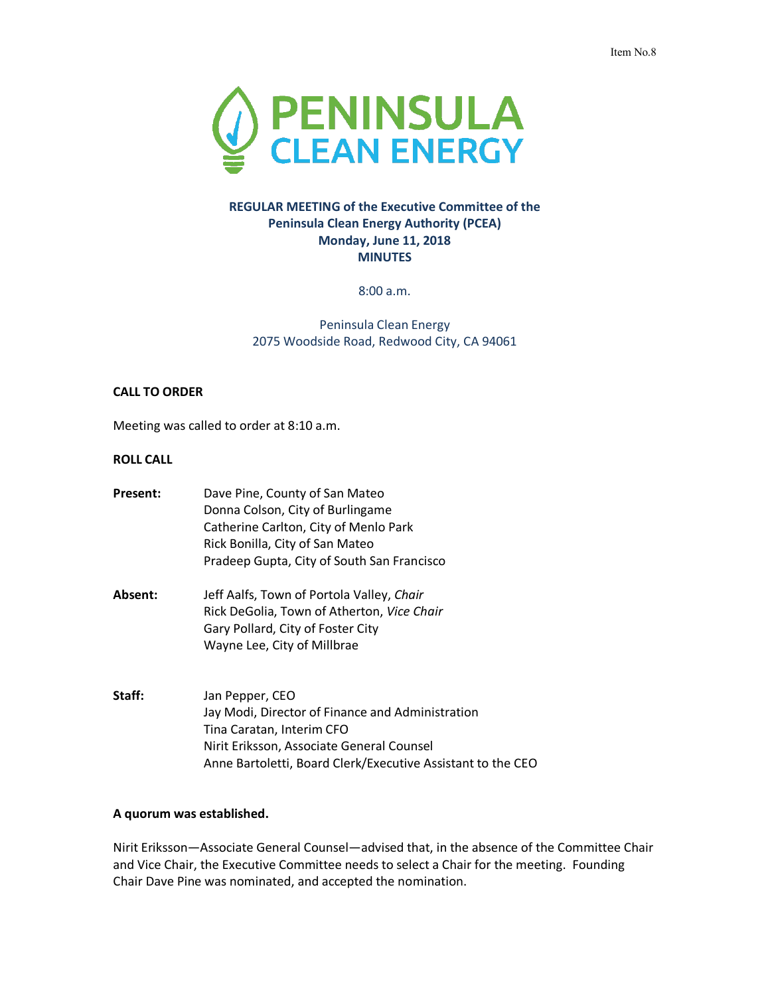

# **REGULAR MEETING of the Executive Committee of the Peninsula Clean Energy Authority (PCEA) Monday, June 11, 2018 MINUTES**

8:00 a.m.

Peninsula Clean Energy 2075 Woodside Road, Redwood City, CA 94061

#### **CALL TO ORDER**

Meeting was called to order at 8:10 a.m.

#### **ROLL CALL**

| Present: | Dave Pine, County of San Mateo<br>Donna Colson, City of Burlingame<br>Catherine Carlton, City of Menlo Park<br>Rick Bonilla, City of San Mateo<br>Pradeep Gupta, City of South San Francisco                 |
|----------|--------------------------------------------------------------------------------------------------------------------------------------------------------------------------------------------------------------|
| Absent:  | Jeff Aalfs, Town of Portola Valley, Chair<br>Rick DeGolia, Town of Atherton, Vice Chair<br>Gary Pollard, City of Foster City<br>Wayne Lee, City of Millbrae                                                  |
| Staff:   | Jan Pepper, CEO<br>Jay Modi, Director of Finance and Administration<br>Tina Caratan, Interim CFO<br>Nirit Eriksson, Associate General Counsel<br>Anne Bartoletti, Board Clerk/Executive Assistant to the CEO |

#### **A quorum was established.**

Nirit Eriksson—Associate General Counsel—advised that, in the absence of the Committee Chair and Vice Chair, the Executive Committee needs to select a Chair for the meeting. Founding Chair Dave Pine was nominated, and accepted the nomination.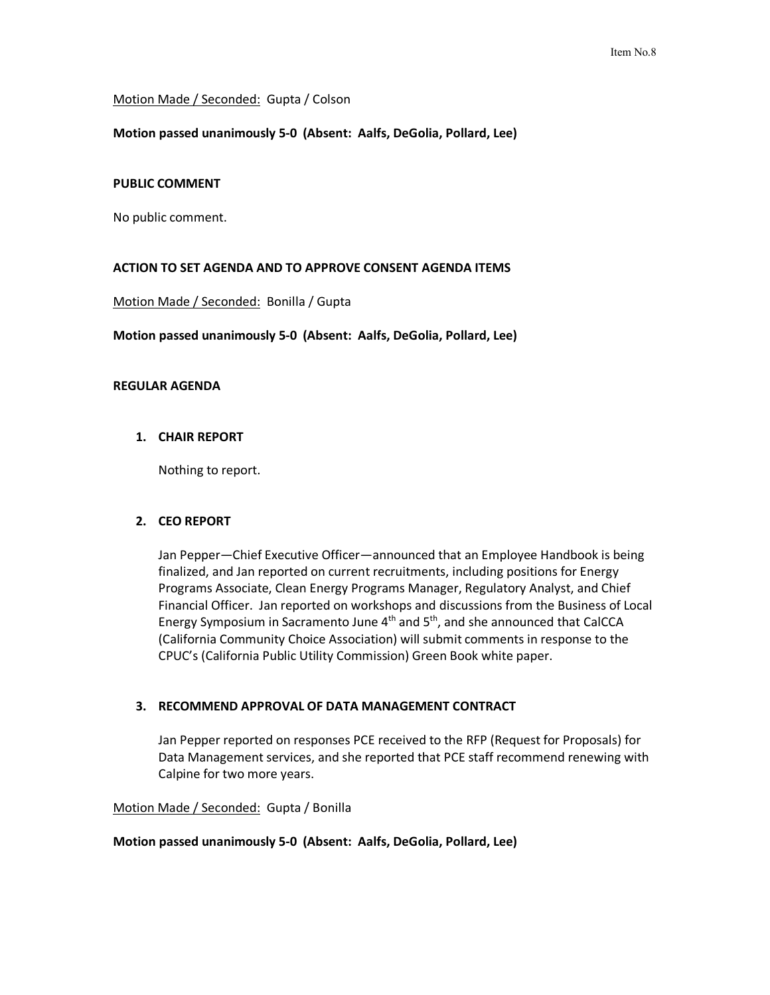#### Motion Made / Seconded: Gupta / Colson

#### **Motion passed unanimously 5-0 (Absent: Aalfs, DeGolia, Pollard, Lee)**

#### **PUBLIC COMMENT**

No public comment.

# **ACTION TO SET AGENDA AND TO APPROVE CONSENT AGENDA ITEMS**

Motion Made / Seconded: Bonilla / Gupta

**Motion passed unanimously 5-0 (Absent: Aalfs, DeGolia, Pollard, Lee)**

#### **REGULAR AGENDA**

# **1. CHAIR REPORT**

Nothing to report.

# **2. CEO REPORT**

Jan Pepper—Chief Executive Officer—announced that an Employee Handbook is being finalized, and Jan reported on current recruitments, including positions for Energy Programs Associate, Clean Energy Programs Manager, Regulatory Analyst, and Chief Financial Officer. Jan reported on workshops and discussions from the Business of Local Energy Symposium in Sacramento June  $4<sup>th</sup>$  and  $5<sup>th</sup>$ , and she announced that CalCCA (California Community Choice Association) will submit comments in response to the CPUC's (California Public Utility Commission) Green Book white paper.

# **3. RECOMMEND APPROVAL OF DATA MANAGEMENT CONTRACT**

Jan Pepper reported on responses PCE received to the RFP (Request for Proposals) for Data Management services, and she reported that PCE staff recommend renewing with Calpine for two more years.

Motion Made / Seconded: Gupta / Bonilla

#### **Motion passed unanimously 5-0 (Absent: Aalfs, DeGolia, Pollard, Lee)**